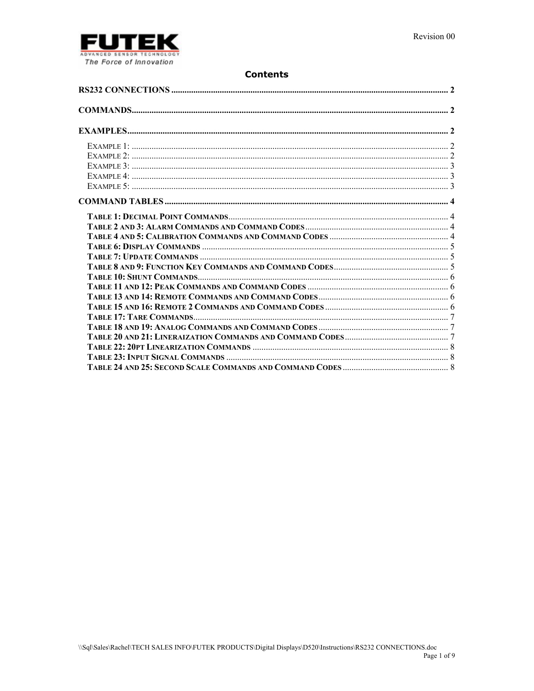

# **Contents**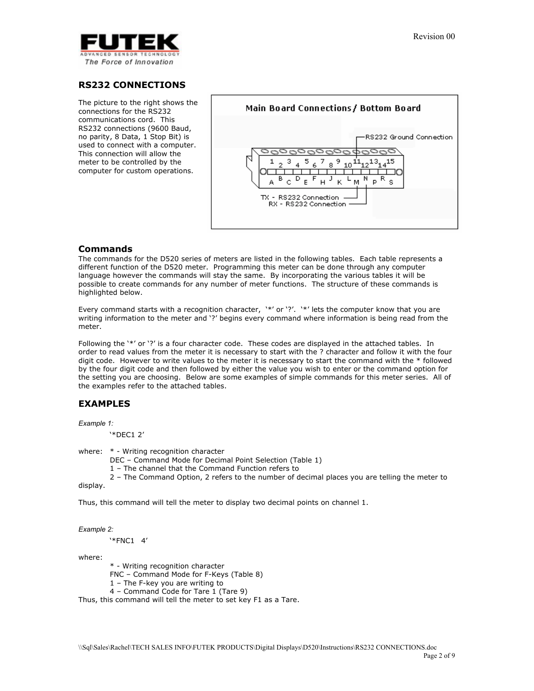

# **RS232 CONNECTIONS**

The picture to the right shows the connections for the RS232 communications cord. This RS232 connections (9600 Baud, no parity, 8 Data, 1 Stop Bit) is used to connect with a computer. This connection will allow the meter to be controlled by the computer for custom operations.



## **Commands**

The commands for the D520 series of meters are listed in the following tables. Each table represents a different function of the D520 meter. Programming this meter can be done through any computer language however the commands will stay the same. By incorporating the various tables it will be possible to create commands for any number of meter functions. The structure of these commands is highlighted below.

Every command starts with a recognition character, '\*' or '?'. '\*' lets the computer know that you are writing information to the meter and '?' begins every command where information is being read from the meter.

Following the '\*' or '?' is a four character code. These codes are displayed in the attached tables. In order to read values from the meter it is necessary to start with the ? character and follow it with the four digit code. However to write values to the meter it is necessary to start the command with the  $*$  followed by the four digit code and then followed by either the value you wish to enter or the command option for the setting you are choosing. Below are some examples of simple commands for this meter series. All of the examples refer to the attached tables.

# **EXAMPLES**

*Example 1:* 

'\*DEC1 2'

where: \* - Writing recognition character

- DEC Command Mode for Decimal Point Selection (Table 1)
- 1 The channel that the Command Function refers to

 2 – The Command Option, 2 refers to the number of decimal places you are telling the meter to display.

Thus, this command will tell the meter to display two decimal points on channel 1.

*Example 2:* 

'\*FNC1 4'

where:

\* - Writing recognition character

FNC – Command Mode for F-Keys (Table 8)

1 – The F-key you are writing to

4 – Command Code for Tare 1 (Tare 9)

Thus, this command will tell the meter to set key F1 as a Tare.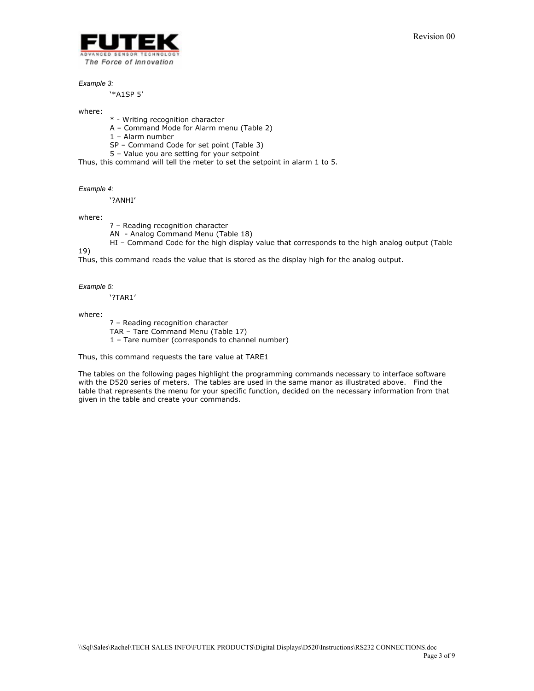

#### *Example 3:*

'\*A1SP 5'

#### where:

\* - Writing recognition character

- A Command Mode for Alarm menu (Table 2)
- 1 Alarm number
- SP Command Code for set point (Table 3)
- 5 Value you are setting for your setpoint

Thus, this command will tell the meter to set the setpoint in alarm 1 to 5.

#### *Example 4:*

'?ANHI'

where:

? – Reading recognition character

AN - Analog Command Menu (Table 18)

HI – Command Code for the high display value that corresponds to the high analog output (Table

19)

Thus, this command reads the value that is stored as the display high for the analog output.

#### *Example 5:*

'?TAR1'

where:

 ? – Reading recognition character TAR – Tare Command Menu (Table 17) 1 – Tare number (corresponds to channel number)

Thus, this command requests the tare value at TARE1

The tables on the following pages highlight the programming commands necessary to interface software with the D520 series of meters. The tables are used in the same manor as illustrated above. Find the table that represents the menu for your specific function, decided on the necessary information from that given in the table and create your commands.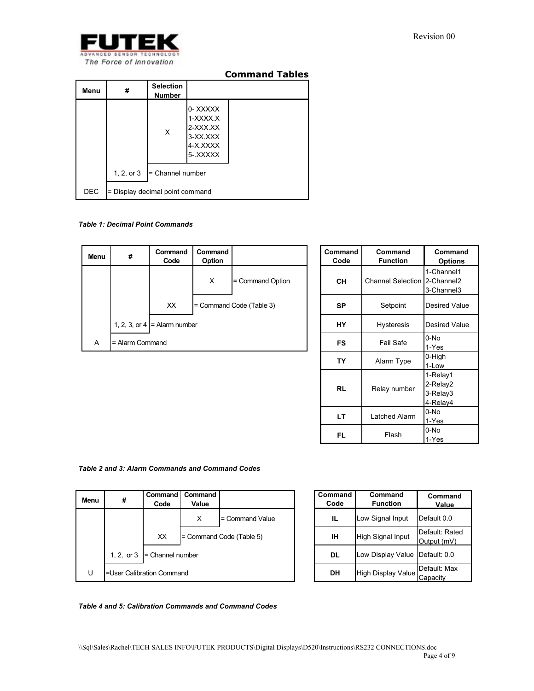

| <b>Command Tables</b> |  |
|-----------------------|--|
|-----------------------|--|

| Menu       | #                               | <b>Selection</b><br><b>Number</b> |                                                                    |  |
|------------|---------------------------------|-----------------------------------|--------------------------------------------------------------------|--|
|            |                                 | X                                 | 0-XXXXX<br>1-XXXX.X<br>2-XXX.XX<br>3-XX.XXX<br>4-X.XXXX<br>5-XXXXX |  |
|            | 1, 2, or 3                      | = Channel number                  |                                                                    |  |
| <b>DEC</b> | = Display decimal point command |                                   |                                                                    |  |

## *Table 1: Decimal Point Commands*

| Menu | #                 | Command<br>Code                | Command<br>Option |                          |
|------|-------------------|--------------------------------|-------------------|--------------------------|
|      |                   |                                | X                 | = Command Option         |
|      |                   | XX                             |                   | = Command Code (Table 3) |
|      |                   | 1, 2, 3, or 4 $=$ Alarm number |                   |                          |
| Α    | $=$ Alarm Command |                                |                   |                          |

| Command<br>Code | Command<br><b>Function</b> | Command<br><b>Options</b>                    |
|-----------------|----------------------------|----------------------------------------------|
| CН              | <b>Channel Selection</b>   | 1-Channel1<br>2-Channel2<br>3-Channel3       |
| SP              | Setpoint                   | Desired Value                                |
| HΥ              | Hysteresis                 | Desired Value                                |
| FS              | Fail Safe                  | 0-No<br>1-Yes                                |
| TΥ              | Alarm Type                 | 0-High<br>1-Low                              |
| <b>RL</b>       | Relay number               | 1-Relay1<br>2-Relay2<br>3-Relay3<br>4-Relay4 |
| LТ              | Latched Alarm              | 0-No<br>1-Yes                                |
| FL              | Flash                      | 0-No<br>1-Yes                                |

## *Table 2 and 3: Alarm Commands and Command Codes*

| Menu | #            | <b>Command</b><br>Code    | Command<br>Value |                          |
|------|--------------|---------------------------|------------------|--------------------------|
|      |              |                           | X                | $=$ Command Value        |
|      |              | XX.                       |                  | = Command Code (Table 5) |
|      | 1, 2, or $3$ | $=$ Channel number        |                  |                          |
| U    |              | =User Calibration Command |                  |                          |

| Command<br>Code | Command<br><b>Function</b>     | Command<br>Value              |
|-----------------|--------------------------------|-------------------------------|
| IL.             | Low Signal Input               | Default 0.0                   |
| ıн              | High Signal Input              | Default: Rated<br>Output (mV) |
| DL              | Low Display Value Default: 0.0 |                               |
| DН              | High Display Value             | Default: Max<br>Capacitv      |

*Table 4 and 5: Calibration Commands and Command Codes*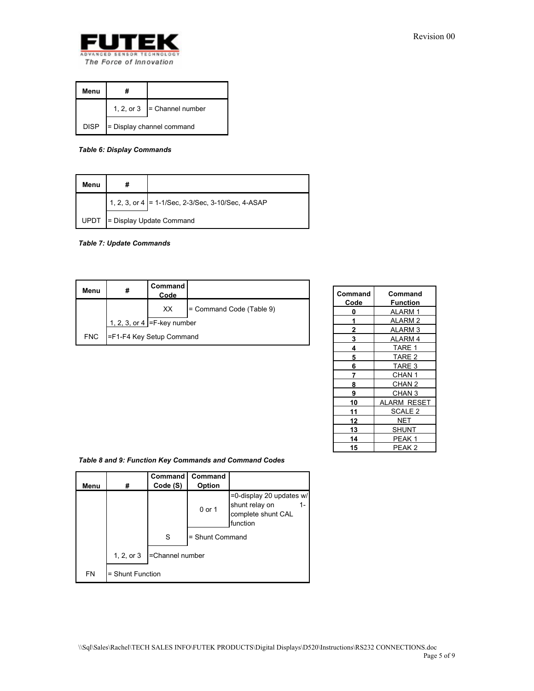

| Menu        |                           |                               |  |
|-------------|---------------------------|-------------------------------|--|
|             |                           | 1, 2, or $3$ = Channel number |  |
| <b>DISP</b> | - Display channel command |                               |  |

*Table 6: Display Commands* 

| Menu        |                                                    |
|-------------|----------------------------------------------------|
|             | 1, 2, 3, or 4 = 1-1/Sec, 2-3/Sec, 3-10/Sec, 4-ASAP |
| <b>UPDT</b> | = Display Update Command                           |

*Table 7: Update Commands* 

| Menu       | #                              | <b>Command</b><br>Code          |                          |  |
|------------|--------------------------------|---------------------------------|--------------------------|--|
|            |                                | XX                              | = Command Code (Table 9) |  |
|            | 1, 2, 3, or 4 $=$ F-key number |                                 |                          |  |
| <b>FNC</b> |                                | <b>FF1-F4 Key Setup Command</b> |                          |  |

| Command | Command            |
|---------|--------------------|
| Code    | Function           |
| 0       | ALARM 1            |
| 1       | <b>ALARM2</b>      |
| 2       | ALARM <sub>3</sub> |
| 3       | ALARM 4            |
| 4       | TARE 1             |
| 5       | TARE <sub>2</sub>  |
| 6       | TARE 3             |
| 7       | CHAN <sub>1</sub>  |
| 8       | CHAN <sub>2</sub>  |
| 9       | CHAN <sub>3</sub>  |
| 10      | <b>ALARM RESET</b> |
| 11      | SCALE <sub>2</sub> |
| 12      | NET                |
| 13      | SHUNT              |
| 14      | PEAK 1             |
| 15      | PEAK <sub>2</sub>  |

*Table 8 and 9: Function Key Commands and Command Codes* 

| Menu      | #                | Command<br>Code (S) | Command<br>Option |                                                                              |
|-----------|------------------|---------------------|-------------------|------------------------------------------------------------------------------|
|           |                  |                     | 0 or 1            | =0-display 20 updates w/<br>shunt relay on<br>complete shunt CAL<br>function |
|           |                  | S                   | = Shunt Command   |                                                                              |
|           | 1, 2, or $3$     | -Channel number     |                   |                                                                              |
| <b>FN</b> | = Shunt Function |                     |                   |                                                                              |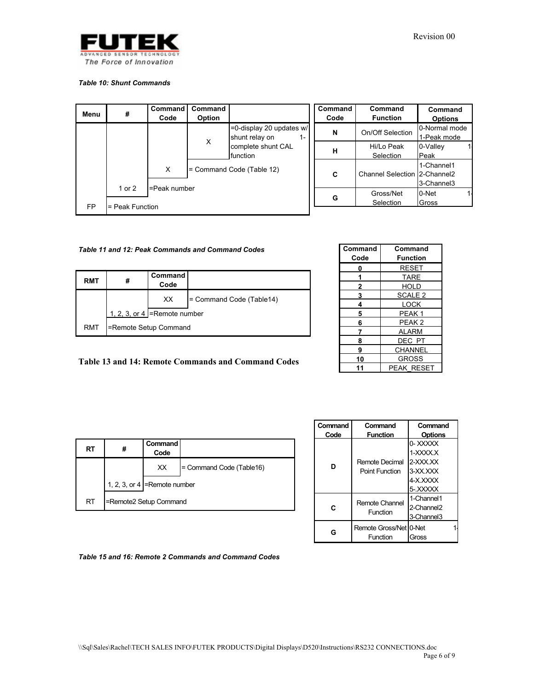

#### *Table 10: Shunt Commands*

| Menu      | #                           | Command<br>Code | Command<br>Option |                                                     | Command<br>Code | Command<br><b>Function</b>   | Command<br><b>Options</b>    |
|-----------|-----------------------------|-----------------|-------------------|-----------------------------------------------------|-----------------|------------------------------|------------------------------|
|           |                             |                 |                   | =0-display 20 updates w/<br>shunt relay on<br>$1 -$ | N               | On/Off Selection             | 0-Normal mode<br>1-Peak mode |
|           |                             |                 | X                 | complete shunt CAL<br><b>I</b> function             | н               | Hi/Lo Peak<br>Selection      | 0-Valley<br>Peak             |
|           |                             | X               |                   | = Command Code (Table 12)                           | C               | Channel Selection 2-Channel2 | 1-Channel1<br>3-Channel3     |
| <b>FP</b> | 1 or 2<br>$=$ Peak Function | =Peak number    |                   |                                                     | G               | Gross/Net<br>Selection       | 0-Net<br>Gross               |

## *Table 11 and 12: Peak Commands and Command Codes*

| <b>RMT</b> |                       | Command<br>Code                                     |                          |
|------------|-----------------------|-----------------------------------------------------|--------------------------|
|            |                       | XX.                                                 | = Command Code (Table14) |
|            |                       | 1, 2, 3, or 4 $\blacktriangleright$ = Remote number |                          |
| RMT        | =Remote Setup Command |                                                     |                          |

| Command | Command            |
|---------|--------------------|
|         |                    |
| Code    | <b>Function</b>    |
| 0       | <b>RESET</b>       |
|         | <b>TARE</b>        |
| 2       | HOLD               |
| 3       | SCALE <sub>2</sub> |
| 4       | LOCK               |
| 5       | PEAK <sub>1</sub>  |
| 6       | PEAK <sub>2</sub>  |
| 7       | <b>ALARM</b>       |
| 8       | DEC PT             |
| 9       | CHANNEL            |
| 10      | <b>GROSS</b>       |
| 11      | <b>PEAK RESET</b>  |

## **Table 13 and 14: Remote Commands and Command Codes**

| RT | #                      | Command<br>Code                   |                          |
|----|------------------------|-----------------------------------|--------------------------|
|    |                        | XX                                | = Command Code (Table16) |
|    |                        | 1, 2, 3, or 4 $R$ = Remote number |                          |
| RT | =Remote2 Setup Command |                                   |                          |

| Command<br>Code | Command<br><b>Function</b>              | Command<br><b>Options</b>                                          |
|-----------------|-----------------------------------------|--------------------------------------------------------------------|
| n               | Remote Decimal<br><b>Point Function</b> | 0-XXXXX<br>1-XXXX X<br>2-XXX XX<br>3-XX XXX<br>4-X XXXX<br>5-XXXXX |
| c               | Remote Channel<br>Function              | 1-Channel1<br>2-Channel <sub>2</sub><br>3-Channel <sub>3</sub>     |
|                 | Remote Gross/Net 10-Net<br>Function     | Gross                                                              |

*Table 15 and 16: Remote 2 Commands and Command Codes*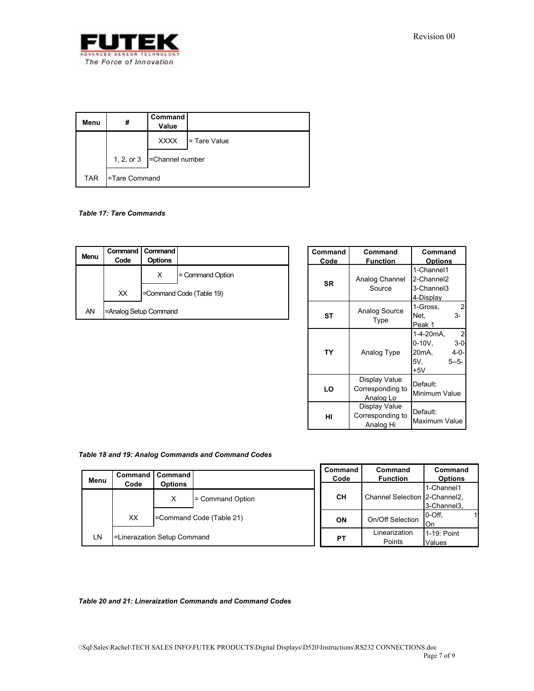

| Menu       | #             | Command<br>Value              |                |
|------------|---------------|-------------------------------|----------------|
|            |               | <b>XXXX</b>                   | $=$ Tare Value |
|            |               | 1, 2, or $3$ = Channel number |                |
| <b>TAR</b> | -Tare Command |                               |                |

### *Table 17: Tare Commands*

| Menu | Code                  | Command   Command<br><b>Options</b> |                          |
|------|-----------------------|-------------------------------------|--------------------------|
|      |                       |                                     |                          |
|      |                       | х                                   | = Command Option         |
|      | XX                    |                                     | =Command Code (Table 19) |
| AN   | =Analog Setup Command |                                     |                          |

| Command   | Command          | Command                   |  |
|-----------|------------------|---------------------------|--|
| Code      | <b>Function</b>  | <b>Options</b>            |  |
|           |                  | 1-Channel1                |  |
| SR        | Analog Channel   | 2-Channel2                |  |
|           | Source           | 3-Channel3                |  |
|           |                  | 4-Display                 |  |
|           | Analog Source    | 1-Gross,<br>2             |  |
| <b>ST</b> |                  | $3-$<br>Net.              |  |
|           | Type             | Peak 1                    |  |
|           |                  | $\mathbf{2}$<br>1-4-20mA. |  |
|           |                  | $3 - 0$<br>$0-10V,$       |  |
| TY        | Analog Type      | 20mA,<br>$4 - 0 -$        |  |
|           |                  | 5V.<br>$5 - 5 -$          |  |
|           |                  | $+5V$                     |  |
|           | Display Value    | Default:                  |  |
| LO        | Corresponding to |                           |  |
|           | Analog Lo        | Minimum Value             |  |
|           | Display Value    |                           |  |
| HI        | Corresponding to | Default:                  |  |
|           | Analog Hi        | Maximum Value             |  |

## *Table 18 and 19: Analog Commands and Command Codes*

| Menu | Command                     | <b>Command</b> |                         | Command<br>Code | Command<br><b>Function</b>    | Command<br><b>Options</b> |
|------|-----------------------------|----------------|-------------------------|-----------------|-------------------------------|---------------------------|
|      | Code                        | <b>Options</b> |                         |                 |                               | 1-Channel1                |
|      |                             | X              | = Command Option        | CН              | Channel Selection 2-Channel2, |                           |
|      |                             |                |                         |                 |                               | 3-Channel3,               |
|      | XX                          |                | Command Code (Table 21) | <b>ON</b>       | On/Off Selection              | I0-Off.                   |
|      |                             |                |                         |                 |                               | On                        |
| LN   | -Linerazation Setup Command |                |                         |                 | Linearization                 | 1-19: Point               |
|      |                             |                |                         | PT              | Points                        | Values                    |

#### *Table 20 and 21: Lineraization Commands and Command Codes*